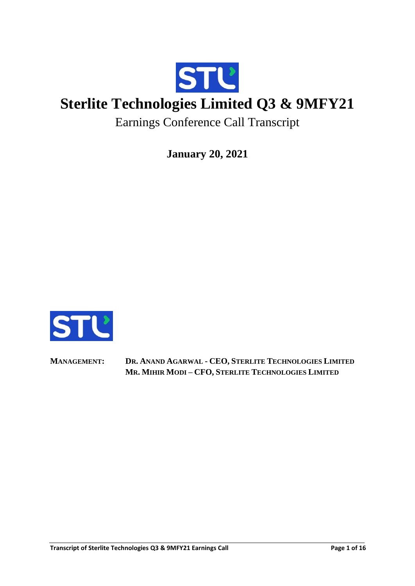

# **Sterlite Technologies Limited Q3 & 9MFY21**

Earnings Conference Call Transcript

**January 20, 2021**



**MANAGEMENT: DR. ANAND AGARWAL - CEO, STERLITE TECHNOLOGIES LIMITED MR. MIHIR MODI – CFO, STERLITE TECHNOLOGIES LIMITED**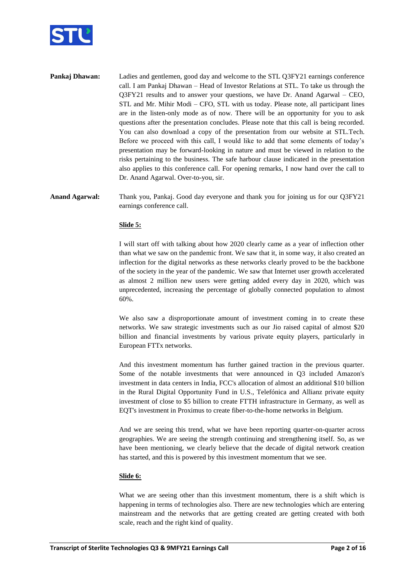

**Pankaj Dhawan:** Ladies and gentlemen, good day and welcome to the STL Q3FY21 earnings conference call. I am Pankaj Dhawan – Head of Investor Relations at STL. To take us through the Q3FY21 results and to answer your questions, we have Dr. Anand Agarwal – CEO, STL and Mr. Mihir Modi – CFO, STL with us today. Please note, all participant lines are in the listen-only mode as of now. There will be an opportunity for you to ask questions after the presentation concludes. Please note that this call is being recorded. You can also download a copy of the presentation from our website at STL.Tech. Before we proceed with this call, I would like to add that some elements of today's presentation may be forward-looking in nature and must be viewed in relation to the risks pertaining to the business. The safe harbour clause indicated in the presentation also applies to this conference call. For opening remarks, I now hand over the call to Dr. Anand Agarwal. Over-to-you, sir.

# **Anand Agarwal:** Thank you, Pankaj. Good day everyone and thank you for joining us for our Q3FY21 earnings conference call.

## **Slide 5:**

I will start off with talking about how 2020 clearly came as a year of inflection other than what we saw on the pandemic front. We saw that it, in some way, it also created an inflection for the digital networks as these networks clearly proved to be the backbone of the society in the year of the pandemic. We saw that Internet user growth accelerated as almost 2 million new users were getting added every day in 2020, which was unprecedented, increasing the percentage of globally connected population to almost 60%.

We also saw a disproportionate amount of investment coming in to create these networks. We saw strategic investments such as our Jio raised capital of almost \$20 billion and financial investments by various private equity players, particularly in European FTTx networks.

And this investment momentum has further gained traction in the previous quarter. Some of the notable investments that were announced in Q3 included Amazon's investment in data centers in India, FCC's allocation of almost an additional \$10 billion in the Rural Digital Opportunity Fund in U.S., Telefónica and Allianz private equity investment of close to \$5 billion to create FTTH infrastructure in Germany, as well as EQT's investment in Proximus to create fiber-to-the-home networks in Belgium.

And we are seeing this trend, what we have been reporting quarter-on-quarter across geographies. We are seeing the strength continuing and strengthening itself. So, as we have been mentioning, we clearly believe that the decade of digital network creation has started, and this is powered by this investment momentum that we see.

#### **Slide 6:**

What we are seeing other than this investment momentum, there is a shift which is happening in terms of technologies also. There are new technologies which are entering mainstream and the networks that are getting created are getting created with both scale, reach and the right kind of quality.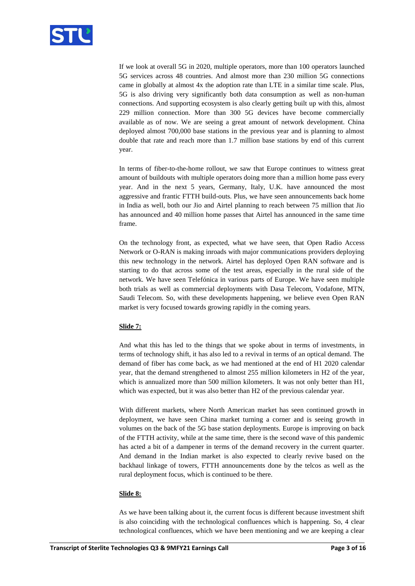

If we look at overall 5G in 2020, multiple operators, more than 100 operators launched 5G services across 48 countries. And almost more than 230 million 5G connections came in globally at almost 4x the adoption rate than LTE in a similar time scale. Plus, 5G is also driving very significantly both data consumption as well as non-human connections. And supporting ecosystem is also clearly getting built up with this, almost 229 million connection. More than 300 5G devices have become commercially available as of now. We are seeing a great amount of network development. China deployed almost 700,000 base stations in the previous year and is planning to almost double that rate and reach more than 1.7 million base stations by end of this current year.

In terms of fiber-to-the-home rollout, we saw that Europe continues to witness great amount of buildouts with multiple operators doing more than a million home pass every year. And in the next 5 years, Germany, Italy, U.K. have announced the most aggressive and frantic FTTH build-outs. Plus, we have seen announcements back home in India as well, both our Jio and Airtel planning to reach between 75 million that Jio has announced and 40 million home passes that Airtel has announced in the same time frame.

On the technology front, as expected, what we have seen, that Open Radio Access Network or O-RAN is making inroads with major communications providers deploying this new technology in the network. Airtel has deployed Open RAN software and is starting to do that across some of the test areas, especially in the rural side of the network. We have seen Telefónica in various parts of Europe. We have seen multiple both trials as well as commercial deployments with Dasa Telecom, Vodafone, MTN, Saudi Telecom. So, with these developments happening, we believe even Open RAN market is very focused towards growing rapidly in the coming years.

## **Slide 7:**

And what this has led to the things that we spoke about in terms of investments, in terms of technology shift, it has also led to a revival in terms of an optical demand. The demand of fiber has come back, as we had mentioned at the end of H1 2020 calendar year, that the demand strengthened to almost 255 million kilometers in H2 of the year, which is annualized more than 500 million kilometers. It was not only better than H1, which was expected, but it was also better than H2 of the previous calendar year.

With different markets, where North American market has seen continued growth in deployment, we have seen China market turning a corner and is seeing growth in volumes on the back of the 5G base station deployments. Europe is improving on back of the FTTH activity, while at the same time, there is the second wave of this pandemic has acted a bit of a dampener in terms of the demand recovery in the current quarter. And demand in the Indian market is also expected to clearly revive based on the backhaul linkage of towers, FTTH announcements done by the telcos as well as the rural deployment focus, which is continued to be there.

## **Slide 8:**

As we have been talking about it, the current focus is different because investment shift is also coinciding with the technological confluences which is happening. So, 4 clear technological confluences, which we have been mentioning and we are keeping a clear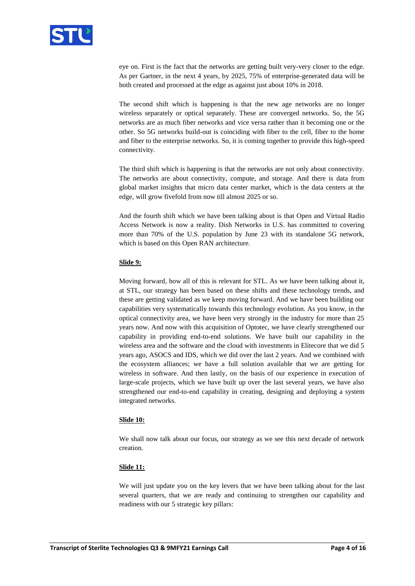

eye on. First is the fact that the networks are getting built very-very closer to the edge. As per Gartner, in the next 4 years, by 2025, 75% of enterprise-generated data will be both created and processed at the edge as against just about 10% in 2018.

The second shift which is happening is that the new age networks are no longer wireless separately or optical separately. These are converged networks. So, the 5G networks are as much fiber networks and vice versa rather than it becoming one or the other. So 5G networks build-out is coinciding with fiber to the cell, fiber to the home and fiber to the enterprise networks. So, it is coming together to provide this high-speed connectivity.

The third shift which is happening is that the networks are not only about connectivity. The networks are about connectivity, compute, and storage. And there is data from global market insights that micro data center market, which is the data centers at the edge, will grow fivefold from now till almost 2025 or so.

And the fourth shift which we have been talking about is that Open and Virtual Radio Access Network is now a reality. Dish Networks in U.S. has committed to covering more than 70% of the U.S. population by June 23 with its standalone 5G network, which is based on this Open RAN architecture.

## **Slide 9:**

Moving forward, how all of this is relevant for STL. As we have been talking about it, at STL, our strategy has been based on these shifts and these technology trends, and these are getting validated as we keep moving forward. And we have been building our capabilities very systematically towards this technology evolution. As you know, in the optical connectivity area, we have been very strongly in the industry for more than 25 years now. And now with this acquisition of Optotec, we have clearly strengthened our capability in providing end-to-end solutions. We have built our capability in the wireless area and the software and the cloud with investments in Elitecore that we did 5 years ago, ASOCS and IDS, which we did over the last 2 years. And we combined with the ecosystem alliances; we have a full solution available that we are getting for wireless in software. And then lastly, on the basis of our experience in execution of large-scale projects, which we have built up over the last several years, we have also strengthened our end-to-end capability in creating, designing and deploying a system integrated networks.

## **Slide 10:**

We shall now talk about our focus, our strategy as we see this next decade of network creation.

## **Slide 11:**

We will just update you on the key levers that we have been talking about for the last several quarters, that we are ready and continuing to strengthen our capability and readiness with our 5 strategic key pillars: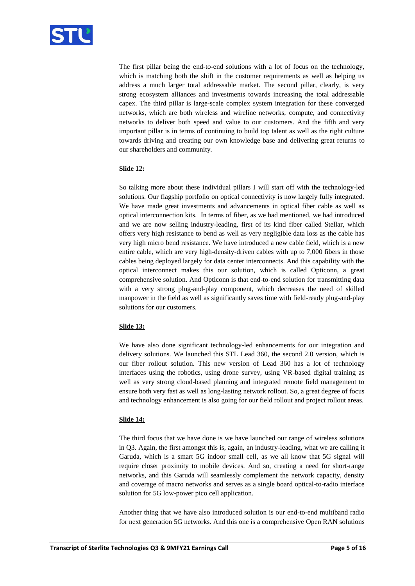

The first pillar being the end-to-end solutions with a lot of focus on the technology, which is matching both the shift in the customer requirements as well as helping us address a much larger total addressable market. The second pillar, clearly, is very strong ecosystem alliances and investments towards increasing the total addressable capex. The third pillar is large-scale complex system integration for these converged networks, which are both wireless and wireline networks, compute, and connectivity networks to deliver both speed and value to our customers. And the fifth and very important pillar is in terms of continuing to build top talent as well as the right culture towards driving and creating our own knowledge base and delivering great returns to our shareholders and community.

# **Slide 12:**

So talking more about these individual pillars I will start off with the technology-led solutions. Our flagship portfolio on optical connectivity is now largely fully integrated. We have made great investments and advancements in optical fiber cable as well as optical interconnection kits. In terms of fiber, as we had mentioned, we had introduced and we are now selling industry-leading, first of its kind fiber called Stellar, which offers very high resistance to bend as well as very negligible data loss as the cable has very high micro bend resistance. We have introduced a new cable field, which is a new entire cable, which are very high-density-driven cables with up to 7,000 fibers in those cables being deployed largely for data center interconnects. And this capability with the optical interconnect makes this our solution, which is called Opticonn, a great comprehensive solution. And Opticonn is that end-to-end solution for transmitting data with a very strong plug-and-play component, which decreases the need of skilled manpower in the field as well as significantly saves time with field-ready plug-and-play solutions for our customers.

# **Slide 13:**

We have also done significant technology-led enhancements for our integration and delivery solutions. We launched this STL Lead 360, the second 2.0 version, which is our fiber rollout solution. This new version of Lead 360 has a lot of technology interfaces using the robotics, using drone survey, using VR-based digital training as well as very strong cloud-based planning and integrated remote field management to ensure both very fast as well as long-lasting network rollout. So, a great degree of focus and technology enhancement is also going for our field rollout and project rollout areas.

## **Slide 14:**

The third focus that we have done is we have launched our range of wireless solutions in Q3. Again, the first amongst this is, again, an industry-leading, what we are calling it Garuda, which is a smart 5G indoor small cell, as we all know that 5G signal will require closer proximity to mobile devices. And so, creating a need for short-range networks, and this Garuda will seamlessly complement the network capacity, density and coverage of macro networks and serves as a single board optical-to-radio interface solution for 5G low-power pico cell application.

Another thing that we have also introduced solution is our end-to-end multiband radio for next generation 5G networks. And this one is a comprehensive Open RAN solutions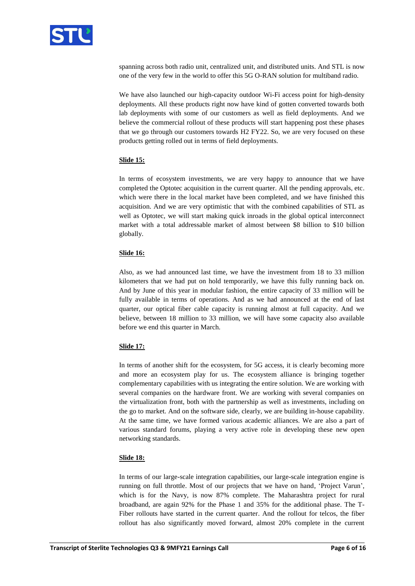

spanning across both radio unit, centralized unit, and distributed units. And STL is now one of the very few in the world to offer this 5G O-RAN solution for multiband radio.

We have also launched our high-capacity outdoor Wi-Fi access point for high-density deployments. All these products right now have kind of gotten converted towards both lab deployments with some of our customers as well as field deployments. And we believe the commercial rollout of these products will start happening post these phases that we go through our customers towards H2 FY22. So, we are very focused on these products getting rolled out in terms of field deployments.

# **Slide 15:**

In terms of ecosystem investments, we are very happy to announce that we have completed the Optotec acquisition in the current quarter. All the pending approvals, etc. which were there in the local market have been completed, and we have finished this acquisition. And we are very optimistic that with the combined capabilities of STL as well as Optotec, we will start making quick inroads in the global optical interconnect market with a total addressable market of almost between \$8 billion to \$10 billion globally.

## **Slide 16:**

Also, as we had announced last time, we have the investment from 18 to 33 million kilometers that we had put on hold temporarily, we have this fully running back on. And by June of this year in modular fashion, the entire capacity of 33 million will be fully available in terms of operations. And as we had announced at the end of last quarter, our optical fiber cable capacity is running almost at full capacity. And we believe, between 18 million to 33 million, we will have some capacity also available before we end this quarter in March.

# **Slide 17:**

In terms of another shift for the ecosystem, for 5G access, it is clearly becoming more and more an ecosystem play for us. The ecosystem alliance is bringing together complementary capabilities with us integrating the entire solution. We are working with several companies on the hardware front. We are working with several companies on the virtualization front, both with the partnership as well as investments, including on the go to market. And on the software side, clearly, we are building in-house capability. At the same time, we have formed various academic alliances. We are also a part of various standard forums, playing a very active role in developing these new open networking standards.

## **Slide 18:**

In terms of our large-scale integration capabilities, our large-scale integration engine is running on full throttle. Most of our projects that we have on hand, 'Project Varun', which is for the Navy, is now 87% complete. The Maharashtra project for rural broadband, are again 92% for the Phase 1 and 35% for the additional phase. The T-Fiber rollouts have started in the current quarter. And the rollout for telcos, the fiber rollout has also significantly moved forward, almost 20% complete in the current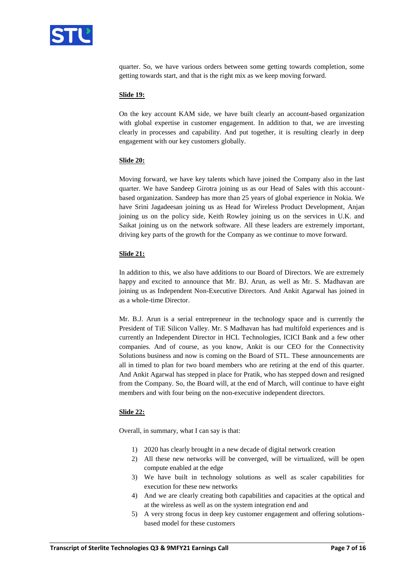

quarter. So, we have various orders between some getting towards completion, some getting towards start, and that is the right mix as we keep moving forward.

#### **Slide 19:**

On the key account KAM side, we have built clearly an account-based organization with global expertise in customer engagement. In addition to that, we are investing clearly in processes and capability. And put together, it is resulting clearly in deep engagement with our key customers globally.

#### **Slide 20:**

Moving forward, we have key talents which have joined the Company also in the last quarter. We have Sandeep Girotra joining us as our Head of Sales with this accountbased organization. Sandeep has more than 25 years of global experience in Nokia. We have Srini Jagadeesan joining us as Head for Wireless Product Development, Anjan joining us on the policy side, Keith Rowley joining us on the services in U.K. and Saikat joining us on the network software. All these leaders are extremely important, driving key parts of the growth for the Company as we continue to move forward.

#### **Slide 21:**

In addition to this, we also have additions to our Board of Directors. We are extremely happy and excited to announce that Mr. BJ. Arun, as well as Mr. S. Madhavan are joining us as Independent Non-Executive Directors. And Ankit Agarwal has joined in as a whole-time Director.

Mr. B.J. Arun is a serial entrepreneur in the technology space and is currently the President of TiE Silicon Valley. Mr. S Madhavan has had multifold experiences and is currently an Independent Director in HCL Technologies, ICICI Bank and a few other companies. And of course, as you know, Ankit is our CEO for the Connectivity Solutions business and now is coming on the Board of STL. These announcements are all in timed to plan for two board members who are retiring at the end of this quarter. And Ankit Agarwal has stepped in place for Pratik, who has stepped down and resigned from the Company. So, the Board will, at the end of March, will continue to have eight members and with four being on the non-executive independent directors.

## **Slide 22:**

Overall, in summary, what I can say is that:

- 1) 2020 has clearly brought in a new decade of digital network creation
- 2) All these new networks will be converged, will be virtualized, will be open compute enabled at the edge
- 3) We have built in technology solutions as well as scaler capabilities for execution for these new networks
- 4) And we are clearly creating both capabilities and capacities at the optical and at the wireless as well as on the system integration end and
- 5) A very strong focus in deep key customer engagement and offering solutionsbased model for these customers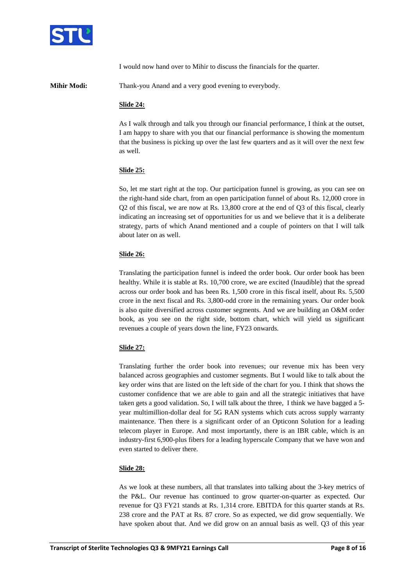

I would now hand over to Mihir to discuss the financials for the quarter.

**Mihir Modi:** Thank-you Anand and a very good evening to everybody.

## **Slide 24:**

As I walk through and talk you through our financial performance, I think at the outset, I am happy to share with you that our financial performance is showing the momentum that the business is picking up over the last few quarters and as it will over the next few as well.

## **Slide 25:**

So, let me start right at the top. Our participation funnel is growing, as you can see on the right-hand side chart, from an open participation funnel of about Rs. 12,000 crore in Q2 of this fiscal, we are now at Rs. 13,800 crore at the end of Q3 of this fiscal, clearly indicating an increasing set of opportunities for us and we believe that it is a deliberate strategy, parts of which Anand mentioned and a couple of pointers on that I will talk about later on as well.

#### **Slide 26:**

Translating the participation funnel is indeed the order book. Our order book has been healthy. While it is stable at Rs. 10,700 crore, we are excited (Inaudible) that the spread across our order book and has been Rs. 1,500 crore in this fiscal itself, about Rs. 5,500 crore in the next fiscal and Rs. 3,800-odd crore in the remaining years. Our order book is also quite diversified across customer segments. And we are building an O&M order book, as you see on the right side, bottom chart, which will yield us significant revenues a couple of years down the line, FY23 onwards.

## **Slide 27:**

Translating further the order book into revenues; our revenue mix has been very balanced across geographies and customer segments. But I would like to talk about the key order wins that are listed on the left side of the chart for you. I think that shows the customer confidence that we are able to gain and all the strategic initiatives that have taken gets a good validation. So, I will talk about the three, I think we have bagged a 5 year multimillion-dollar deal for 5G RAN systems which cuts across supply warranty maintenance. Then there is a significant order of an Opticonn Solution for a leading telecom player in Europe. And most importantly, there is an IBR cable, which is an industry-first 6,900-plus fibers for a leading hyperscale Company that we have won and even started to deliver there.

## **Slide 28:**

As we look at these numbers, all that translates into talking about the 3-key metrics of the P&L. Our revenue has continued to grow quarter-on-quarter as expected. Our revenue for Q3 FY21 stands at Rs. 1,314 crore. EBITDA for this quarter stands at Rs. 238 crore and the PAT at Rs. 87 crore. So as expected, we did grow sequentially. We have spoken about that. And we did grow on an annual basis as well. Q3 of this year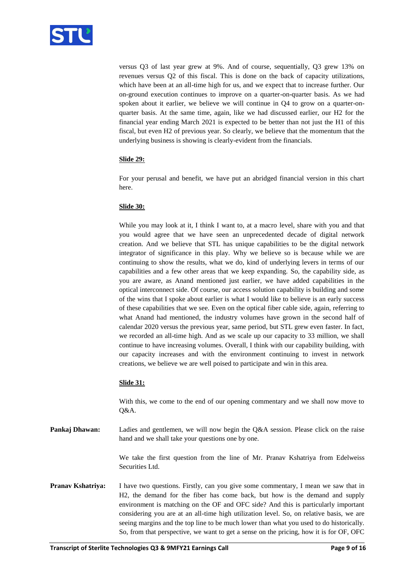

versus Q3 of last year grew at 9%. And of course, sequentially, Q3 grew 13% on revenues versus Q2 of this fiscal. This is done on the back of capacity utilizations, which have been at an all-time high for us, and we expect that to increase further. Our on-ground execution continues to improve on a quarter-on-quarter basis. As we had spoken about it earlier, we believe we will continue in Q4 to grow on a quarter-onquarter basis. At the same time, again, like we had discussed earlier, our H2 for the financial year ending March 2021 is expected to be better than not just the H1 of this fiscal, but even H2 of previous year. So clearly, we believe that the momentum that the underlying business is showing is clearly-evident from the financials.

# **Slide 29:**

For your perusal and benefit, we have put an abridged financial version in this chart here.

## **Slide 30:**

While you may look at it, I think I want to, at a macro level, share with you and that you would agree that we have seen an unprecedented decade of digital network creation. And we believe that STL has unique capabilities to be the digital network integrator of significance in this play. Why we believe so is because while we are continuing to show the results, what we do, kind of underlying levers in terms of our capabilities and a few other areas that we keep expanding. So, the capability side, as you are aware, as Anand mentioned just earlier, we have added capabilities in the optical interconnect side. Of course, our access solution capability is building and some of the wins that I spoke about earlier is what I would like to believe is an early success of these capabilities that we see. Even on the optical fiber cable side, again, referring to what Anand had mentioned, the industry volumes have grown in the second half of calendar 2020 versus the previous year, same period, but STL grew even faster. In fact, we recorded an all-time high. And as we scale up our capacity to 33 million, we shall continue to have increasing volumes. Overall, I think with our capability building, with our capacity increases and with the environment continuing to invest in network creations, we believe we are well poised to participate and win in this area.

## **Slide 31:**

With this, we come to the end of our opening commentary and we shall now move to Q&A.

**Pankaj Dhawan:** Ladies and gentlemen, we will now begin the Q&A session. Please click on the raise hand and we shall take your questions one by one.

> We take the first question from the line of Mr. Pranav Kshatriya from Edelweiss Securities Ltd.

**Pranav Kshatriya:** I have two questions. Firstly, can you give some commentary, I mean we saw that in H2, the demand for the fiber has come back, but how is the demand and supply environment is matching on the OF and OFC side? And this is particularly important considering you are at an all-time high utilization level. So, on relative basis, we are seeing margins and the top line to be much lower than what you used to do historically. So, from that perspective, we want to get a sense on the pricing, how it is for OF, OFC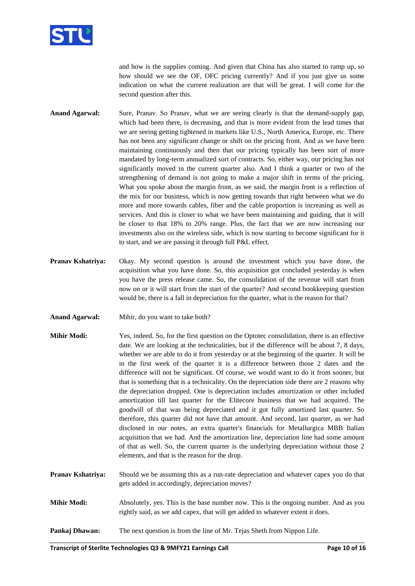

and how is the supplies coming. And given that China has also started to ramp up, so how should we see the OF, OFC pricing currently? And if you just give us some indication on what the current realization are that will be great. I will come for the second question after this.

- **Anand Agarwal:** Sure, Pranav. So Pranav, what we are seeing clearly is that the demand-supply gap, which had been there, is decreasing, and that is more evident from the lead times that we are seeing getting tightened in markets like U.S., North America, Europe, etc. There has not been any significant change or shift on the pricing front. And as we have been maintaining continuously and then that our pricing typically has been sort of more mandated by long-term annualized sort of contracts. So, either way, our pricing has not significantly moved in the current quarter also. And I think a quarter or two of the strengthening of demand is not going to make a major shift in terms of the pricing. What you spoke about the margin front, as we said, the margin front is a reflection of the mix for our business, which is now getting towards that right between what we do more and more towards cables, fiber and the cable proportion is increasing as well as services. And this is closer to what we have been maintaining and guiding, that it will be closer to that 18% to 20% range. Plus, the fact that we are now increasing our investments also on the wireless side, which is now starting to become significant for it to start, and we are passing it through full P&L effect.
- **Pranav Kshatriya:** Okay. My second question is around the investment which you have done, the acquisition what you have done. So, this acquisition got concluded yesterday is when you have the press release came. So, the consolidation of the revenue will start from now on or it will start from the start of the quarter? And second bookkeeping question would be, there is a fall in depreciation for the quarter, what is the reason for that?
- **Anand Agarwal:** Mihir, do you want to take both?
- **Mihir Modi:** Yes, indeed. So, for the first question on the Optotec consolidation, there is an effective date. We are looking at the technicalities, but if the difference will be about 7, 8 days, whether we are able to do it from yesterday or at the beginning of the quarter. It will be in the first week of the quarter it is a difference between those 2 dates and the difference will not be significant. Of course, we would want to do it from sooner, but that is something that is a technicality. On the depreciation side there are 2 reasons why the depreciation dropped. One is depreciation includes amortization or other included amortization till last quarter for the Elitecore business that we had acquired. The goodwill of that was being depreciated and it got fully amortized last quarter. So therefore, this quarter did not have that amount. And second, last quarter, as we had disclosed in our notes, an extra quarter's financials for Metallurgica MBB Italian acquisition that we had. And the amortization line, depreciation line had some amount of that as well. So, the current quarter is the underlying depreciation without those 2 elements, and that is the reason for the drop.
- **Pranav Kshatriya:** Should we be assuming this as a run-rate depreciation and whatever capex you do that gets added in accordingly, depreciation moves?
- **Mihir Modi:** Absolutely, yes. This is the base number now. This is the ongoing number. And as you rightly said, as we add capex, that will get added to whatever extent it does.
- **Pankaj Dhawan:** The next question is from the line of Mr. Tejas Sheth from Nippon Life.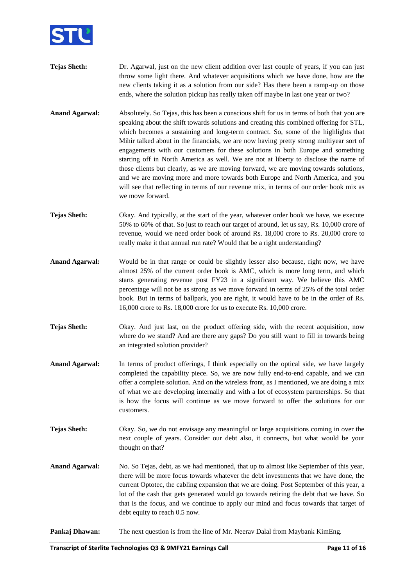

- **Tejas Sheth:** Dr. Agarwal, just on the new client addition over last couple of years, if you can just throw some light there. And whatever acquisitions which we have done, how are the new clients taking it as a solution from our side? Has there been a ramp-up on those ends, where the solution pickup has really taken off maybe in last one year or two?
- **Anand Agarwal:** Absolutely. So Tejas, this has been a conscious shift for us in terms of both that you are speaking about the shift towards solutions and creating this combined offering for STL, which becomes a sustaining and long-term contract. So, some of the highlights that Mihir talked about in the financials, we are now having pretty strong multiyear sort of engagements with our customers for these solutions in both Europe and something starting off in North America as well. We are not at liberty to disclose the name of those clients but clearly, as we are moving forward, we are moving towards solutions, and we are moving more and more towards both Europe and North America, and you will see that reflecting in terms of our revenue mix, in terms of our order book mix as we move forward.
- **Tejas Sheth:** Okay. And typically, at the start of the year, whatever order book we have, we execute 50% to 60% of that. So just to reach our target of around, let us say, Rs. 10,000 crore of revenue, would we need order book of around Rs. 18,000 crore to Rs. 20,000 crore to really make it that annual run rate? Would that be a right understanding?
- Anand Agarwal: Would be in that range or could be slightly lesser also because, right now, we have almost 25% of the current order book is AMC, which is more long term, and which starts generating revenue post FY23 in a significant way. We believe this AMC percentage will not be as strong as we move forward in terms of 25% of the total order book. But in terms of ballpark, you are right, it would have to be in the order of Rs. 16,000 crore to Rs. 18,000 crore for us to execute Rs. 10,000 crore.
- **Tejas Sheth:** Okay. And just last, on the product offering side, with the recent acquisition, now where do we stand? And are there any gaps? Do you still want to fill in towards being an integrated solution provider?
- **Anand Agarwal:** In terms of product offerings, I think especially on the optical side, we have largely completed the capability piece. So, we are now fully end-to-end capable, and we can offer a complete solution. And on the wireless front, as I mentioned, we are doing a mix of what we are developing internally and with a lot of ecosystem partnerships. So that is how the focus will continue as we move forward to offer the solutions for our customers.
- **Tejas Sheth:** Okay. So, we do not envisage any meaningful or large acquisitions coming in over the next couple of years. Consider our debt also, it connects, but what would be your thought on that?
- **Anand Agarwal:** No. So Tejas, debt, as we had mentioned, that up to almost like September of this year, there will be more focus towards whatever the debt investments that we have done, the current Optotec, the cabling expansion that we are doing. Post September of this year, a lot of the cash that gets generated would go towards retiring the debt that we have. So that is the focus, and we continue to apply our mind and focus towards that target of debt equity to reach 0.5 now.

# **Pankaj Dhawan:** The next question is from the line of Mr. Neerav Dalal from Maybank KimEng.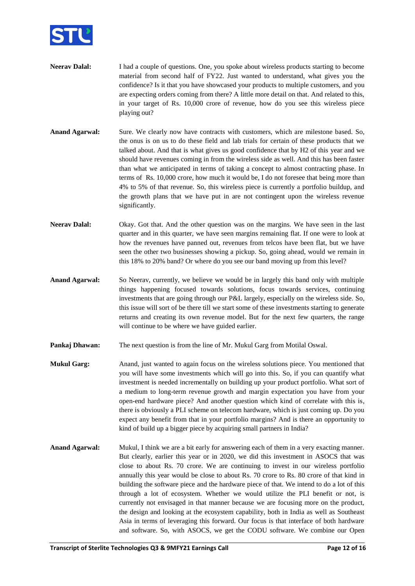

- **Neerav Dalal:** I had a couple of questions. One, you spoke about wireless products starting to become material from second half of FY22. Just wanted to understand, what gives you the confidence? Is it that you have showcased your products to multiple customers, and you are expecting orders coming from there? A little more detail on that. And related to this, in your target of Rs. 10,000 crore of revenue, how do you see this wireless piece playing out?
- **Anand Agarwal:** Sure. We clearly now have contracts with customers, which are milestone based. So, the onus is on us to do these field and lab trials for certain of these products that we talked about. And that is what gives us good confidence that by H2 of this year and we should have revenues coming in from the wireless side as well. And this has been faster than what we anticipated in terms of taking a concept to almost contracting phase. In terms of Rs. 10,000 crore, how much it would be, I do not foresee that being more than 4% to 5% of that revenue. So, this wireless piece is currently a portfolio buildup, and the growth plans that we have put in are not contingent upon the wireless revenue significantly.
- **Neerav Dalal:** Okay. Got that. And the other question was on the margins. We have seen in the last quarter and in this quarter, we have seen margins remaining flat. If one were to look at how the revenues have panned out, revenues from telcos have been flat, but we have seen the other two businesses showing a pickup. So, going ahead, would we remain in this 18% to 20% band? Or where do you see our band moving up from this level?
- **Anand Agarwal:** So Neerav, currently, we believe we would be in largely this band only with multiple things happening focused towards solutions, focus towards services, continuing investments that are going through our P&L largely, especially on the wireless side. So, this issue will sort of be there till we start some of these investments starting to generate returns and creating its own revenue model. But for the next few quarters, the range will continue to be where we have guided earlier.
- **Pankaj Dhawan:** The next question is from the line of Mr. Mukul Garg from Motilal Oswal.
- **Mukul Garg:** Anand, just wanted to again focus on the wireless solutions piece. You mentioned that you will have some investments which will go into this. So, if you can quantify what investment is needed incrementally on building up your product portfolio. What sort of a medium to long-term revenue growth and margin expectation you have from your open-end hardware piece? And another question which kind of correlate with this is, there is obviously a PLI scheme on telecom hardware, which is just coming up. Do you expect any benefit from that in your portfolio margins? And is there an opportunity to kind of build up a bigger piece by acquiring small partners in India?
- **Anand Agarwal:** Mukul, I think we are a bit early for answering each of them in a very exacting manner. But clearly, earlier this year or in 2020, we did this investment in ASOCS that was close to about Rs. 70 crore. We are continuing to invest in our wireless portfolio annually this year would be close to about Rs. 70 crore to Rs. 80 crore of that kind in building the software piece and the hardware piece of that. We intend to do a lot of this through a lot of ecosystem. Whether we would utilize the PLI benefit or not, is currently not envisaged in that manner because we are focusing more on the product, the design and looking at the ecosystem capability, both in India as well as Southeast Asia in terms of leveraging this forward. Our focus is that interface of both hardware and software. So, with ASOCS, we get the CODU software. We combine our Open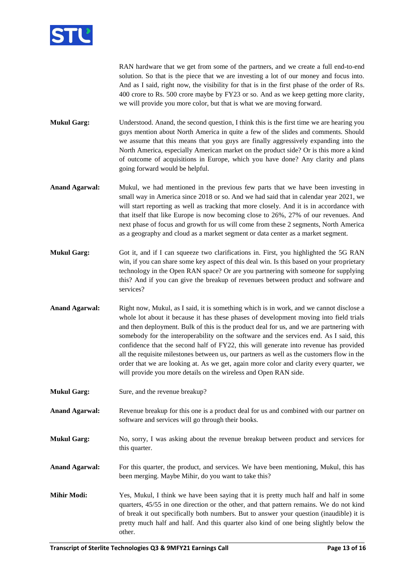

RAN hardware that we get from some of the partners, and we create a full end-to-end solution. So that is the piece that we are investing a lot of our money and focus into. And as I said, right now, the visibility for that is in the first phase of the order of Rs. 400 crore to Rs. 500 crore maybe by FY23 or so. And as we keep getting more clarity, we will provide you more color, but that is what we are moving forward.

**Mukul Garg:** Understood. Anand, the second question, I think this is the first time we are hearing you guys mention about North America in quite a few of the slides and comments. Should we assume that this means that you guys are finally aggressively expanding into the North America, especially American market on the product side? Or is this more a kind of outcome of acquisitions in Europe, which you have done? Any clarity and plans going forward would be helpful.

- **Anand Agarwal:** Mukul, we had mentioned in the previous few parts that we have been investing in small way in America since 2018 or so. And we had said that in calendar year 2021, we will start reporting as well as tracking that more closely. And it is in accordance with that itself that like Europe is now becoming close to 26%, 27% of our revenues. And next phase of focus and growth for us will come from these 2 segments, North America as a geography and cloud as a market segment or data center as a market segment.
- **Mukul Garg:** Got it, and if I can squeeze two clarifications in. First, you highlighted the 5G RAN win, if you can share some key aspect of this deal win. Is this based on your proprietary technology in the Open RAN space? Or are you partnering with someone for supplying this? And if you can give the breakup of revenues between product and software and services?
- **Anand Agarwal:** Right now, Mukul, as I said, it is something which is in work, and we cannot disclose a whole lot about it because it has these phases of development moving into field trials and then deployment. Bulk of this is the product deal for us, and we are partnering with somebody for the interoperability on the software and the services end. As I said, this confidence that the second half of FY22, this will generate into revenue has provided all the requisite milestones between us, our partners as well as the customers flow in the order that we are looking at. As we get, again more color and clarity every quarter, we will provide you more details on the wireless and Open RAN side.
- **Mukul Garg:** Sure, and the revenue breakup?
- **Anand Agarwal:** Revenue breakup for this one is a product deal for us and combined with our partner on software and services will go through their books.
- **Mukul Garg:** No, sorry, I was asking about the revenue breakup between product and services for this quarter.

**Anand Agarwal:** For this quarter, the product, and services. We have been mentioning, Mukul, this has been merging. Maybe Mihir, do you want to take this?

**Mihir Modi:** Yes, Mukul, I think we have been saying that it is pretty much half and half in some quarters, 45/55 in one direction or the other, and that pattern remains. We do not kind of break it out specifically both numbers. But to answer your question (inaudible) it is pretty much half and half. And this quarter also kind of one being slightly below the other.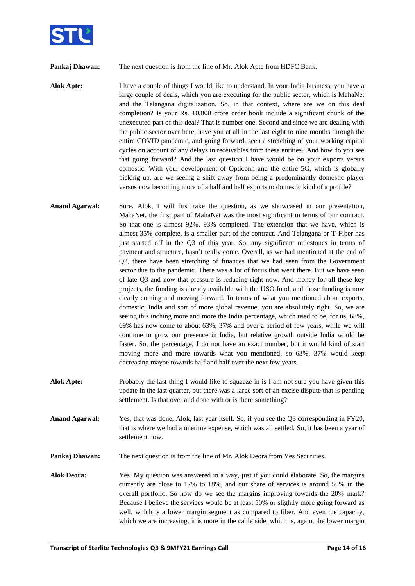

**Pankaj Dhawan:** The next question is from the line of Mr. Alok Apte from HDFC Bank.

**Alok Apte:** I have a couple of things I would like to understand. In your India business, you have a large couple of deals, which you are executing for the public sector, which is MahaNet and the Telangana digitalization. So, in that context, where are we on this deal completion? Is your Rs. 10,000 crore order book include a significant chunk of the unexecuted part of this deal? That is number one. Second and since we are dealing with the public sector over here, have you at all in the last eight to nine months through the entire COVID pandemic, and going forward, seen a stretching of your working capital cycles on account of any delays in receivables from these entities? And how do you see that going forward? And the last question I have would be on your exports versus domestic. With your development of Opticonn and the entire 5G, which is globally picking up, are we seeing a shift away from being a predominantly domestic player versus now becoming more of a half and half exports to domestic kind of a profile?

- **Anand Agarwal:** Sure. Alok, I will first take the question, as we showcased in our presentation, MahaNet, the first part of MahaNet was the most significant in terms of our contract. So that one is almost 92%, 93% completed. The extension that we have, which is almost 35% complete, is a smaller part of the contract. And Telangana or T-Fiber has just started off in the Q3 of this year. So, any significant milestones in terms of payment and structure, hasn't really come. Overall, as we had mentioned at the end of Q2, there have been stretching of finances that we had seen from the Government sector due to the pandemic. There was a lot of focus that went there. But we have seen of late Q3 and now that pressure is reducing right now. And money for all these key projects, the funding is already available with the USO fund, and those funding is now clearly coming and moving forward. In terms of what you mentioned about exports, domestic, India and sort of more global revenue, you are absolutely right. So, we are seeing this inching more and more the India percentage, which used to be, for us, 68%, 69% has now come to about 63%, 37% and over a period of few years, while we will continue to grow our presence in India, but relative growth outside India would be faster. So, the percentage, I do not have an exact number, but it would kind of start moving more and more towards what you mentioned, so 63%, 37% would keep decreasing maybe towards half and half over the next few years.
- Alok Apte: Probably the last thing I would like to squeeze in is I am not sure you have given this update in the last quarter, but there was a large sort of an excise dispute that is pending settlement. Is that over and done with or is there something?
- **Anand Agarwal:** Yes, that was done, Alok, last year itself. So, if you see the Q3 corresponding in FY20, that is where we had a onetime expense, which was all settled. So, it has been a year of settlement now.
- **Pankaj Dhawan:** The next question is from the line of Mr. Alok Deora from Yes Securities.
- **Alok Deora:** Yes. My question was answered in a way, just if you could elaborate. So, the margins currently are close to 17% to 18%, and our share of services is around 50% in the overall portfolio. So how do we see the margins improving towards the 20% mark? Because I believe the services would be at least 50% or slightly more going forward as well, which is a lower margin segment as compared to fiber. And even the capacity, which we are increasing, it is more in the cable side, which is, again, the lower margin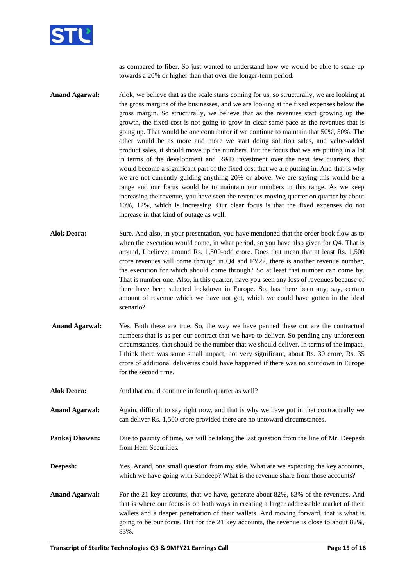

as compared to fiber. So just wanted to understand how we would be able to scale up towards a 20% or higher than that over the longer-term period.

- **Anand Agarwal:** Alok, we believe that as the scale starts coming for us, so structurally, we are looking at the gross margins of the businesses, and we are looking at the fixed expenses below the gross margin. So structurally, we believe that as the revenues start growing up the growth, the fixed cost is not going to grow in clear same pace as the revenues that is going up. That would be one contributor if we continue to maintain that 50%, 50%. The other would be as more and more we start doing solution sales, and value-added product sales, it should move up the numbers. But the focus that we are putting in a lot in terms of the development and R&D investment over the next few quarters, that would become a significant part of the fixed cost that we are putting in. And that is why we are not currently guiding anything 20% or above. We are saying this would be a range and our focus would be to maintain our numbers in this range. As we keep increasing the revenue, you have seen the revenues moving quarter on quarter by about 10%, 12%, which is increasing. Our clear focus is that the fixed expenses do not increase in that kind of outage as well.
- **Alok Deora:** Sure. And also, in your presentation, you have mentioned that the order book flow as to when the execution would come, in what period, so you have also given for Q4. That is around, I believe, around Rs. 1,500-odd crore. Does that mean that at least Rs. 1,500 crore revenues will come through in Q4 and FY22, there is another revenue number, the execution for which should come through? So at least that number can come by. That is number one. Also, in this quarter, have you seen any loss of revenues because of there have been selected lockdown in Europe. So, has there been any, say, certain amount of revenue which we have not got, which we could have gotten in the ideal scenario?
- **Anand Agarwal:** Yes. Both these are true. So, the way we have panned these out are the contractual numbers that is as per our contract that we have to deliver. So pending any unforeseen circumstances, that should be the number that we should deliver. In terms of the impact, I think there was some small impact, not very significant, about Rs. 30 crore, Rs. 35 crore of additional deliveries could have happened if there was no shutdown in Europe for the second time.
- **Alok Deora:** And that could continue in fourth quarter as well?
- **Anand Agarwal:** Again, difficult to say right now, and that is why we have put in that contractually we can deliver Rs. 1,500 crore provided there are no untoward circumstances.
- **Pankaj Dhawan:** Due to paucity of time, we will be taking the last question from the line of Mr. Deepesh from Hem Securities.
- **Deepesh:** Yes, Anand, one small question from my side. What are we expecting the key accounts, which we have going with Sandeep? What is the revenue share from those accounts?
- Anand Agarwal: For the 21 key accounts, that we have, generate about 82%, 83% of the revenues. And that is where our focus is on both ways in creating a larger addressable market of their wallets and a deeper penetration of their wallets. And moving forward, that is what is going to be our focus. But for the 21 key accounts, the revenue is close to about 82%, 83%.